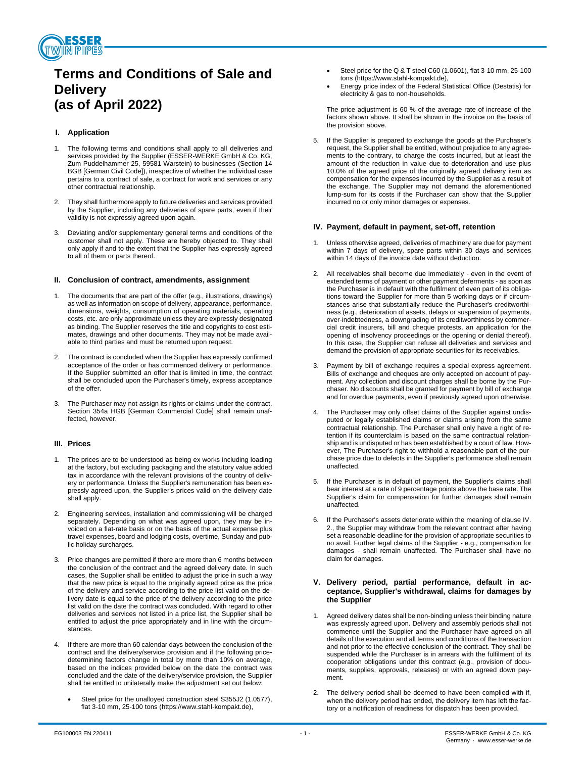

# **Terms and Conditions of Sale and Delivery (as of April 2022)**

# **I. Application**

- The following terms and conditions shall apply to all deliveries and services provided by the Supplier (ESSER-WERKE GmbH & Co. KG, Zum Puddelhammer 25, 59581 Warstein) to businesses (Section 14 BGB [German Civil Code]), irrespective of whether the individual case pertains to a contract of sale, a contract for work and services or any other contractual relationship.
- 2. They shall furthermore apply to future deliveries and services provided by the Supplier, including any deliveries of spare parts, even if their validity is not expressly agreed upon again.
- 3. Deviating and/or supplementary general terms and conditions of the customer shall not apply. These are hereby objected to. They shall only apply if and to the extent that the Supplier has expressly agreed to all of them or parts thereof.

# **II. Conclusion of contract, amendments, assignment**

- 1. The documents that are part of the offer (e.g., illustrations, drawings) as well as information on scope of delivery, appearance, performance, dimensions, weights, consumption of operating materials, operating costs, etc. are only approximate unless they are expressly designated as binding. The Supplier reserves the title and copyrights to cost estimates, drawings and other documents. They may not be made available to third parties and must be returned upon request.
- 2. The contract is concluded when the Supplier has expressly confirmed acceptance of the order or has commenced delivery or performance. If the Supplier submitted an offer that is limited in time, the contract shall be concluded upon the Purchaser's timely, express acceptance of the offer.
- The Purchaser may not assign its rights or claims under the contract. Section 354a HGB [German Commercial Code] shall remain unaffected, however.

# **III. Prices**

- 1. The prices are to be understood as being ex works including loading at the factory, but excluding packaging and the statutory value added tax in accordance with the relevant provisions of the country of delivery or performance. Unless the Supplier's remuneration has been expressly agreed upon, the Supplier's prices valid on the delivery date shall apply.
- 2. Engineering services, installation and commissioning will be charged separately. Depending on what was agreed upon, they may be invoiced on a flat-rate basis or on the basis of the actual expense plus travel expenses, board and lodging costs, overtime, Sunday and public holiday surcharges.
- 3. Price changes are permitted if there are more than 6 months between the conclusion of the contract and the agreed delivery date. In such cases, the Supplier shall be entitled to adjust the price in such a way that the new price is equal to the originally agreed price as the price of the delivery and service according to the price list valid on the delivery date is equal to the price of the delivery according to the price list valid on the date the contract was concluded. With regard to other deliveries and services not listed in a price list, the Supplier shall be entitled to adjust the price appropriately and in line with the circumstances.
- If there are more than 60 calendar days between the conclusion of the contract and the delivery/service provision and if the following pricedetermining factors change in total by more than 10% on average, based on the indices provided below on the date the contract was concluded and the date of the delivery/service provision, the Supplier shall be entitled to unilaterally make the adjustment set out below:
	- Steel price for the unalloyed construction steel S355J2 (1.0577), flat 3-10 mm, 25-100 tons (https://www.stahl-kompakt.de),
- Steel price for the Q & T steel C60 (1.0601), flat 3-10 mm, 25-100 tons (https://www.stahl-kompakt.de),
- Energy price index of the Federal Statistical Office (Destatis) for electricity & gas to non-households.

The price adjustment is 60 % of the average rate of increase of the factors shown above. It shall be shown in the invoice on the basis of the provision above.

5. If the Supplier is prepared to exchange the goods at the Purchaser's request, the Supplier shall be entitled, without prejudice to any agreements to the contrary, to charge the costs incurred, but at least the amount of the reduction in value due to deterioration and use plus 10.0% of the agreed price of the originally agreed delivery item as compensation for the expenses incurred by the Supplier as a result of the exchange. The Supplier may not demand the aforementioned lump-sum for its costs if the Purchaser can show that the Supplier incurred no or only minor damages or expenses.

# **IV. Payment, default in payment, set-off, retention**

- 1. Unless otherwise agreed, deliveries of machinery are due for payment within 7 days of delivery, spare parts within 30 days and services within 14 days of the invoice date without deduction.
- 2. All receivables shall become due immediately even in the event of extended terms of payment or other payment deferments - as soon as the Purchaser is in default with the fulfilment of even part of its obligations toward the Supplier for more than 5 working days or if circumstances arise that substantially reduce the Purchaser's creditworthiness (e.g., deterioration of assets, delays or suspension of payments, over-indebtedness, a downgrading of its creditworthiness by commercial credit insurers, bill and cheque protests, an application for the opening of insolvency proceedings or the opening or denial thereof). In this case, the Supplier can refuse all deliveries and services and demand the provision of appropriate securities for its receivables.
- Payment by bill of exchange requires a special express agreement. Bills of exchange and cheques are only accepted on account of payment. Any collection and discount charges shall be borne by the Purchaser. No discounts shall be granted for payment by bill of exchange and for overdue payments, even if previously agreed upon otherwise.
- 4. The Purchaser may only offset claims of the Supplier against undisputed or legally established claims or claims arising from the same contractual relationship. The Purchaser shall only have a right of retention if its counterclaim is based on the same contractual relationship and is undisputed or has been established by a court of law. However, The Purchaser's right to withhold a reasonable part of the purchase price due to defects in the Supplier's performance shall remain unaffected.
- 5. If the Purchaser is in default of payment, the Supplier's claims shall bear interest at a rate of 9 percentage points above the base rate. The Supplier's claim for compensation for further damages shall remain unaffected.
- If the Purchaser's assets deteriorate within the meaning of clause IV. 2., the Supplier may withdraw from the relevant contract after having set a reasonable deadline for the provision of appropriate securities to no avail. Further legal claims of the Supplier - e.g., compensation for damages - shall remain unaffected. The Purchaser shall have no claim for damages.

# **V. Delivery period, partial performance, default in acceptance, Supplier's withdrawal, claims for damages by the Supplier**

- Agreed delivery dates shall be non-binding unless their binding nature was expressly agreed upon. Delivery and assembly periods shall not commence until the Supplier and the Purchaser have agreed on all details of the execution and all terms and conditions of the transaction and not prior to the effective conclusion of the contract. They shall be suspended while the Purchaser is in arrears with the fulfilment of its cooperation obligations under this contract (e.g., provision of documents, supplies, approvals, releases) or with an agreed down payment.
- 2. The delivery period shall be deemed to have been complied with if, when the delivery period has ended, the delivery item has left the factory or a notification of readiness for dispatch has been provided.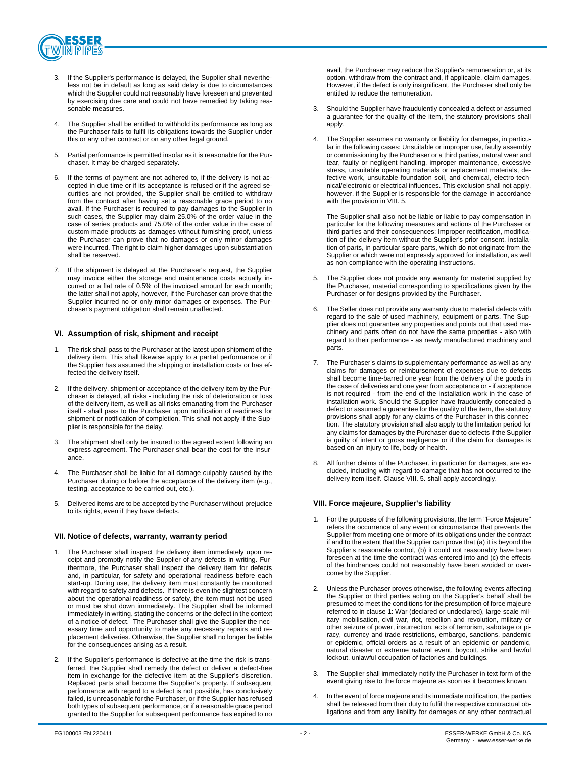

- If the Supplier's performance is delayed, the Supplier shall nevertheless not be in default as long as said delay is due to circumstances which the Supplier could not reasonably have foreseen and prevented by exercising due care and could not have remedied by taking reasonable measures.
- 4. The Supplier shall be entitled to withhold its performance as long as the Purchaser fails to fulfil its obligations towards the Supplier under this or any other contract or on any other legal ground.
- 5. Partial performance is permitted insofar as it is reasonable for the Purchaser. It may be charged separately.
- 6. If the terms of payment are not adhered to, if the delivery is not accepted in due time or if its acceptance is refused or if the agreed securities are not provided, the Supplier shall be entitled to withdraw from the contract after having set a reasonable grace period to no avail. If the Purchaser is required to pay damages to the Supplier in such cases, the Supplier may claim 25.0% of the order value in the case of series products and 75.0% of the order value in the case of custom-made products as damages without furnishing proof, unless the Purchaser can prove that no damages or only minor damages were incurred. The right to claim higher damages upon substantiation shall be reserved.
- If the shipment is delayed at the Purchaser's request, the Supplier may invoice either the storage and maintenance costs actually incurred or a flat rate of 0.5% of the invoiced amount for each month; the latter shall not apply, however, if the Purchaser can prove that the Supplier incurred no or only minor damages or expenses. The Purchaser's payment obligation shall remain unaffected.

#### **VI. Assumption of risk, shipment and receipt**

- 1. The risk shall pass to the Purchaser at the latest upon shipment of the delivery item. This shall likewise apply to a partial performance or if the Supplier has assumed the shipping or installation costs or has effected the delivery itself.
- 2. If the delivery, shipment or acceptance of the delivery item by the Purchaser is delayed, all risks - including the risk of deterioration or loss of the delivery item, as well as all risks emanating from the Purchaser itself - shall pass to the Purchaser upon notification of readiness for shipment or notification of completion. This shall not apply if the Supplier is responsible for the delay.
- The shipment shall only be insured to the agreed extent following an express agreement. The Purchaser shall bear the cost for the insurance.
- 4. The Purchaser shall be liable for all damage culpably caused by the Purchaser during or before the acceptance of the delivery item (e.g., testing, acceptance to be carried out, etc.).
- 5. Delivered items are to be accepted by the Purchaser without prejudice to its rights, even if they have defects.

#### **VII. Notice of defects, warranty, warranty period**

- The Purchaser shall inspect the delivery item immediately upon receipt and promptly notify the Supplier of any defects in writing. Furthermore, the Purchaser shall inspect the delivery item for defects and, in particular, for safety and operational readiness before each start-up. During use, the delivery item must constantly be monitored with regard to safety and defects. If there is even the slightest concern about the operational readiness or safety, the item must not be used or must be shut down immediately. The Supplier shall be informed immediately in writing, stating the concerns or the defect in the context of a notice of defect. The Purchaser shall give the Supplier the necessary time and opportunity to make any necessary repairs and replacement deliveries. Otherwise, the Supplier shall no longer be liable for the consequences arising as a result.
- If the Supplier's performance is defective at the time the risk is transferred, the Supplier shall remedy the defect or deliver a defect-free item in exchange for the defective item at the Supplier's discretion. Replaced parts shall become the Supplier's property. If subsequent performance with regard to a defect is not possible, has conclusively failed, is unreasonable for the Purchaser, or if the Supplier has refused both types of subsequent performance, or if a reasonable grace period granted to the Supplier for subsequent performance has expired to no

avail, the Purchaser may reduce the Supplier's remuneration or, at its option, withdraw from the contract and, if applicable, claim damages. However, if the defect is only insignificant, the Purchaser shall only be entitled to reduce the remuneration.

- 3. Should the Supplier have fraudulently concealed a defect or assumed a guarantee for the quality of the item, the statutory provisions shall apply.
- 4. The Supplier assumes no warranty or liability for damages, in particular in the following cases: Unsuitable or improper use, faulty assembly or commissioning by the Purchaser or a third parties, natural wear and tear, faulty or negligent handling, improper maintenance, excessive stress, unsuitable operating materials or replacement materials, defective work, unsuitable foundation soil, and chemical, electro-technical/electronic or electrical influences. This exclusion shall not apply, however, if the Supplier is responsible for the damage in accordance with the provision in VIII. 5.

The Supplier shall also not be liable or liable to pay compensation in particular for the following measures and actions of the Purchaser or third parties and their consequences: Improper rectification, modification of the delivery item without the Supplier's prior consent, installation of parts, in particular spare parts, which do not originate from the Supplier or which were not expressly approved for installation, as well as non-compliance with the operating instructions.

- 5. The Supplier does not provide any warranty for material supplied by the Purchaser, material corresponding to specifications given by the Purchaser or for designs provided by the Purchaser.
- 6. The Seller does not provide any warranty due to material defects with regard to the sale of used machinery, equipment or parts. The Supplier does not guarantee any properties and points out that used machinery and parts often do not have the same properties - also with regard to their performance - as newly manufactured machinery and parts.
- 7. The Purchaser's claims to supplementary performance as well as any claims for damages or reimbursement of expenses due to defects shall become time-barred one year from the delivery of the goods in the case of deliveries and one year from acceptance or - if acceptance is not required - from the end of the installation work in the case of installation work. Should the Supplier have fraudulently concealed a defect or assumed a guarantee for the quality of the item, the statutory provisions shall apply for any claims of the Purchaser in this connection. The statutory provision shall also apply to the limitation period for any claims for damages by the Purchaser due to defects if the Supplier is guilty of intent or gross negligence or if the claim for damages is based on an injury to life, body or health.
- All further claims of the Purchaser, in particular for damages, are excluded, including with regard to damage that has not occurred to the delivery item itself. Clause VIII. 5. shall apply accordingly.

# **VIII. Force majeure, Supplier's liability**

- 1. For the purposes of the following provisions, the term "Force Majeure" refers the occurrence of any event or circumstance that prevents the Supplier from meeting one or more of its obligations under the contract if and to the extent that the Supplier can prove that (a) it is beyond the Supplier's reasonable control, (b) it could not reasonably have been foreseen at the time the contract was entered into and (c) the effects of the hindrances could not reasonably have been avoided or overcome by the Supplier.
- 2. Unless the Purchaser proves otherwise, the following events affecting the Supplier or third parties acting on the Supplier's behalf shall be presumed to meet the conditions for the presumption of force majeure referred to in clause 1: War (declared or undeclared), large-scale military mobilisation, civil war, riot, rebellion and revolution, military or other seizure of power, insurrection, acts of terrorism, sabotage or piracy, currency and trade restrictions, embargo, sanctions, pandemic or epidemic, official orders as a result of an epidemic or pandemic, natural disaster or extreme natural event, boycott, strike and lawful lockout, unlawful occupation of factories and buildings.
- 3. The Supplier shall immediately notify the Purchaser in text form of the event giving rise to the force majeure as soon as it becomes known.
- In the event of force majeure and its immediate notification, the parties shall be released from their duty to fulfil the respective contractual obligations and from any liability for damages or any other contractual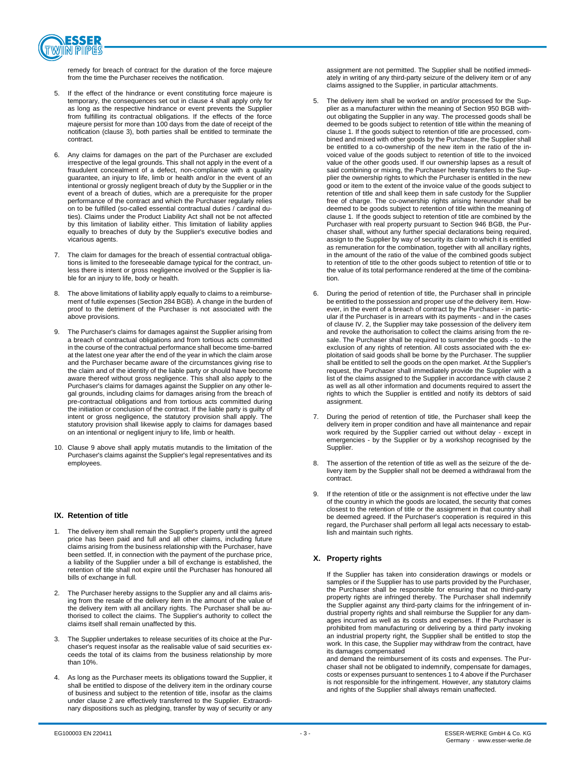

remedy for breach of contract for the duration of the force majeure from the time the Purchaser receives the notification.

- If the effect of the hindrance or event constituting force majeure is temporary, the consequences set out in clause 4 shall apply only for as long as the respective hindrance or event prevents the Supplier from fulfilling its contractual obligations. If the effects of the force majeure persist for more than 100 days from the date of receipt of the notification (clause 3), both parties shall be entitled to terminate the contract.
- 6. Any claims for damages on the part of the Purchaser are excluded irrespective of the legal grounds. This shall not apply in the event of a fraudulent concealment of a defect, non-compliance with a quality guarantee, an injury to life, limb or health and/or in the event of an intentional or grossly negligent breach of duty by the Supplier or in the event of a breach of duties, which are a prerequisite for the proper performance of the contract and which the Purchaser regularly relies on to be fulfilled (so-called essential contractual duties / cardinal duties). Claims under the Product Liability Act shall not be not affected by this limitation of liability either. This limitation of liability applies equally to breaches of duty by the Supplier's executive bodies and vicarious agents.
- 7. The claim for damages for the breach of essential contractual obligations is limited to the foreseeable damage typical for the contract, unless there is intent or gross negligence involved or the Supplier is liable for an injury to life, body or health.
- 8. The above limitations of liability apply equally to claims to a reimbursement of futile expenses (Section 284 BGB). A change in the burden of proof to the detriment of the Purchaser is not associated with the above provisions.
- 9. The Purchaser's claims for damages against the Supplier arising from a breach of contractual obligations and from tortious acts committed in the course of the contractual performance shall become time-barred at the latest one year after the end of the year in which the claim arose and the Purchaser became aware of the circumstances giving rise to the claim and of the identity of the liable party or should have become aware thereof without gross negligence. This shall also apply to the Purchaser's claims for damages against the Supplier on any other legal grounds, including claims for damages arising from the breach of pre-contractual obligations and from tortious acts committed during the initiation or conclusion of the contract. If the liable party is guilty of intent or gross negligence, the statutory provision shall apply. The statutory provision shall likewise apply to claims for damages based on an intentional or negligent injury to life, limb or health.
- 10. Clause 9 above shall apply mutatis mutandis to the limitation of the Purchaser's claims against the Supplier's legal representatives and its employees.

# **IX. Retention of title**

- 1. The delivery item shall remain the Supplier's property until the agreed price has been paid and full and all other claims, including future claims arising from the business relationship with the Purchaser, have been settled. If, in connection with the payment of the purchase price, a liability of the Supplier under a bill of exchange is established, the retention of title shall not expire until the Purchaser has honoured all bills of exchange in full.
- 2. The Purchaser hereby assigns to the Supplier any and all claims arising from the resale of the delivery item in the amount of the value of the delivery item with all ancillary rights. The Purchaser shall be authorised to collect the claims. The Supplier's authority to collect the claims itself shall remain unaffected by this.
- 3. The Supplier undertakes to release securities of its choice at the Purchaser's request insofar as the realisable value of said securities exceeds the total of its claims from the business relationship by more than 10%.
- 4. As long as the Purchaser meets its obligations toward the Supplier, it shall be entitled to dispose of the delivery item in the ordinary course of business and subject to the retention of title, insofar as the claims under clause 2 are effectively transferred to the Supplier. Extraordinary dispositions such as pledging, transfer by way of security or any

assignment are not permitted. The Supplier shall be notified immediately in writing of any third-party seizure of the delivery item or of any claims assigned to the Supplier, in particular attachments.

- 5. The delivery item shall be worked on and/or processed for the Supplier as a manufacturer within the meaning of Section 950 BGB without obligating the Supplier in any way. The processed goods shall be deemed to be goods subject to retention of title within the meaning of clause 1. If the goods subject to retention of title are processed, combined and mixed with other goods by the Purchaser, the Supplier shall be entitled to a co-ownership of the new item in the ratio of the invoiced value of the goods subject to retention of title to the invoiced value of the other goods used. If our ownership lapses as a result of said combining or mixing, the Purchaser hereby transfers to the Supplier the ownership rights to which the Purchaser is entitled in the new good or item to the extent of the invoice value of the goods subject to retention of title and shall keep them in safe custody for the Supplier free of charge. The co-ownership rights arising hereunder shall be deemed to be goods subject to retention of title within the meaning of clause 1. If the goods subject to retention of title are combined by the Purchaser with real property pursuant to Section 946 BGB, the Purchaser shall, without any further special declarations being required, assign to the Supplier by way of security its claim to which it is entitled as remuneration for the combination, together with all ancillary rights, in the amount of the ratio of the value of the combined goods subject to retention of title to the other goods subject to retention of title or to the value of its total performance rendered at the time of the combination.
- 6. During the period of retention of title, the Purchaser shall in principle be entitled to the possession and proper use of the delivery item. However, in the event of a breach of contract by the Purchaser - in particular if the Purchaser is in arrears with its payments - and in the cases of clause IV. 2, the Supplier may take possession of the delivery item and revoke the authorisation to collect the claims arising from the resale. The Purchaser shall be required to surrender the goods - to the exclusion of any rights of retention. All costs associated with the exploitation of said goods shall be borne by the Purchaser. The supplier shall be entitled to sell the goods on the open market. At the Supplier's request, the Purchaser shall immediately provide the Supplier with a list of the claims assigned to the Supplier in accordance with clause 2 as well as all other information and documents required to assert the rights to which the Supplier is entitled and notify its debtors of said assignment.
- 7. During the period of retention of title, the Purchaser shall keep the delivery item in proper condition and have all maintenance and repair work required by the Supplier carried out without delay - except in emergencies - by the Supplier or by a workshop recognised by the Supplier.
- The assertion of the retention of title as well as the seizure of the delivery item by the Supplier shall not be deemed a withdrawal from the contract.
- 9. If the retention of title or the assignment is not effective under the law of the country in which the goods are located, the security that comes closest to the retention of title or the assignment in that country shall be deemed agreed. If the Purchaser's cooperation is required in this regard, the Purchaser shall perform all legal acts necessary to establish and maintain such rights.

# **X. Property rights**

If the Supplier has taken into consideration drawings or models or samples or if the Supplier has to use parts provided by the Purchaser, the Purchaser shall be responsible for ensuring that no third-party property rights are infringed thereby. The Purchaser shall indemnify the Supplier against any third-party claims for the infringement of industrial property rights and shall reimburse the Supplier for any damages incurred as well as its costs and expenses. If the Purchaser is prohibited from manufacturing or delivering by a third party invoking an industrial property right, the Supplier shall be entitled to stop the work. In this case, the Supplier may withdraw from the contract, have its damages compensated

and demand the reimbursement of its costs and expenses. The Purchaser shall not be obligated to indemnify, compensate for damages, costs or expenses pursuant to sentences 1 to 4 above if the Purchaser is not responsible for the infringement. However, any statutory claims and rights of the Supplier shall always remain unaffected.